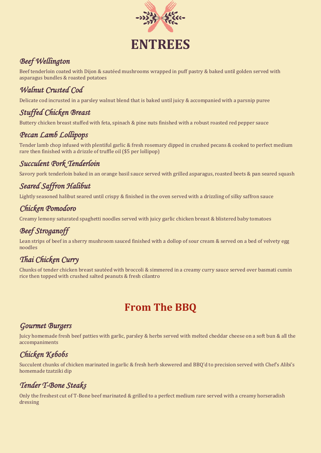

## *Beef Wellington*

Beef tenderloin coated with Dijon & sautéed mushrooms wrapped in puff pastry & baked until golden served with asparagus bundles & roasted potatoes

# *Walnut Crusted Cod*

Delicate cod incrusted in a parsley walnut blend that is baked until juicy & accompanied with a parsnip puree

### *Stuffed Chicken Breast*

Buttery chicken breast stuffed with feta, spinach & pine nuts finished with a robust roasted red pepper sauce

### *Pecan Lamb Lollipops*

Tender lamb chop infused with plentiful garlic & fresh rosemary dipped in crushed pecans & cooked to perfect medium rare then finished with a drizzle of truffle oil (\$5 per lollipop)

### *Succulent Pork Tenderloin*

Savory pork tenderloin baked in an orange basil sauce served with grilled asparagus, roasted beets & pan seared squash

# *Seared Saffron Halibut*

Lightly seasoned halibut seared until crispy & finished in the oven served with a drizzling of silky saffron sauce

### *Chicken Pomodoro*

Creamy lemony saturated spaghetti noodles served with juicy garlic chicken breast & blistered baby tomatoes

# *Beef Stroganoff*

Lean strips of beef in a sherry mushroom sauced finished with a dollop of sour cream & served on a bed of velvety egg noodles

# *Thai Chicken Curry*

Chunks of tender chicken breast sautéed with broccoli & simmered in a creamy curry sauce served over basmati cumin rice then topped with crushed salted peanuts & fresh cilantro

# **From The BBQ**

#### *Gourmet Burgers*

Juicy homemade fresh beef patties with garlic, parsley & herbs served with melted cheddar cheese on a soft bun & all the accompaniments

# *Chicken Kebobs*

Succulent chunks of chicken marinated in garlic & fresh herb skewered and BBQ'd to precision served with Chef's Alibi's homemade tzatziki dip

### *Tender T-Bone Steaks*

Only the freshest cut of T-Bone beef marinated & grilled to a perfect medium rare served with a creamy horseradish dressing